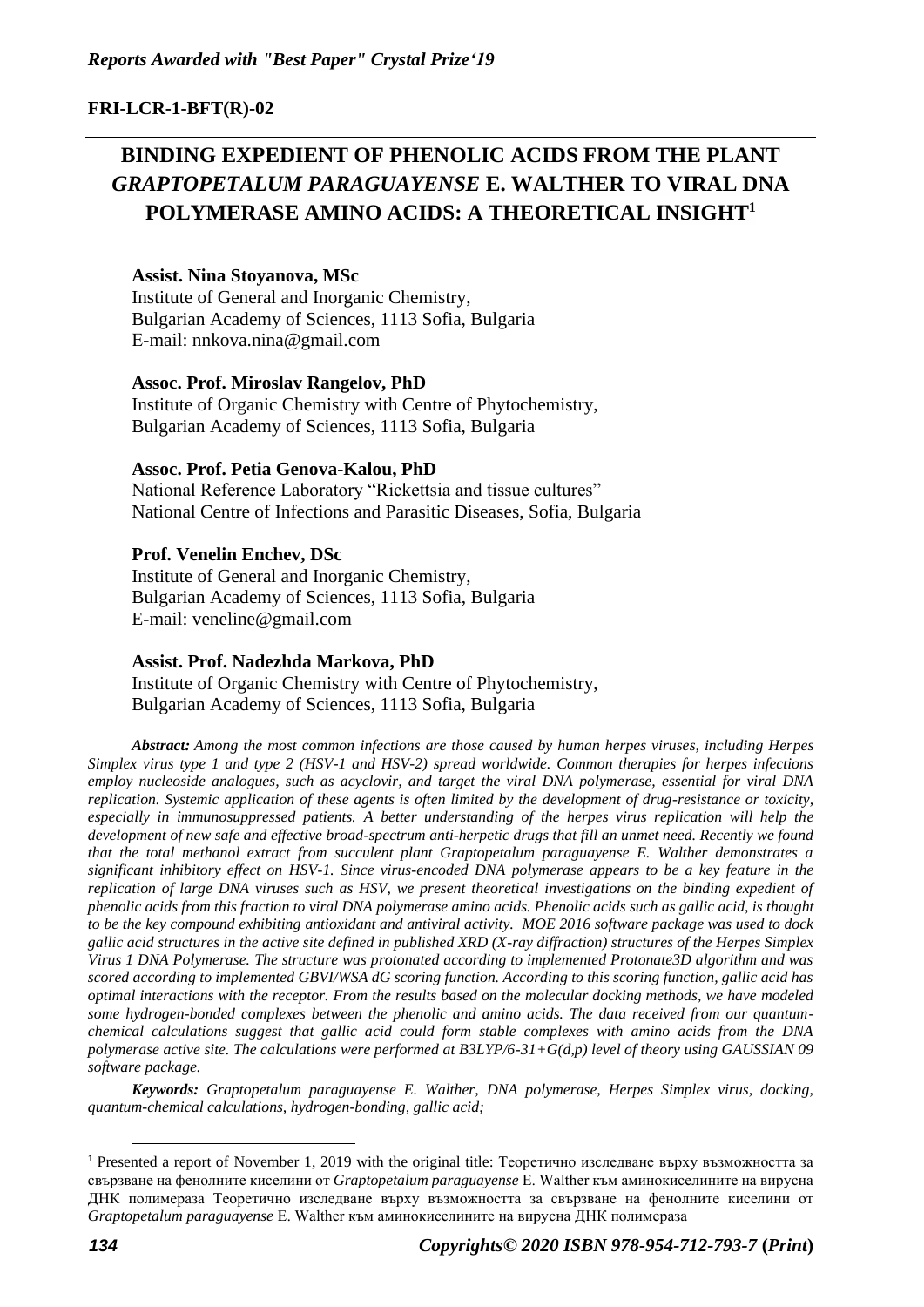## **FRI-LCR-1-BFT(R)-02**

# **BINDING EXPEDIENT OF PHENOLIC ACIDS FROM THE PLANT**  *GRAPTOPETALUM PARAGUAYENSE* **E. WALTHER TO VIRAL DNA POLYMERASE AMINO ACIDS: A THEORETICAL INSIGHT<sup>1</sup>**

#### **Assist. Nina Stoyanova, MSc**

Institute of General and Inorganic Chemistry, Bulgarian Academy of Sciences, 1113 Sofia, Bulgaria Е-mail: nnkova.nina@gmail.com

#### **Assoc. Prof. Miroslav Rangelov, PhD**

Institute of Organic Chemistry with Centre of Phytochemistry, Bulgarian Academy of Sciences, 1113 Sofia, Bulgaria

#### **Assoc. Prof. Petia Genova-Kalou, PhD**

National Reference Laboratory "Rickettsia and tissue cultures" National Centre of Infections and Parasitic Diseases, Sofia, Bulgaria

#### **Prof. Venelin Enchev, DSc**

Institute of General and Inorganic Chemistry, Bulgarian Academy of Sciences, 1113 Sofia, Bulgaria E-mail: veneline@gmail.com

### **Assist. Prof. Nadezhda Markova, PhD**

Institute of Organic Chemistry with Centre of Phytochemistry, Bulgarian Academy of Sciences, 1113 Sofia, Bulgaria

*Abstract: Among the most common infections are those caused by human herpes viruses, including Herpes Simplex virus type 1 and type 2 (HSV-1 and HSV-2) spread worldwide. Common therapies for herpes infections employ nucleoside analogues, such as acyclovir, and target the viral DNA polymerase, essential for viral DNA replication. Systemic application of these agents is often limited by the development of drug-resistance or toxicity, especially in immunosuppressed patients. A better understanding of the herpes virus replication will help the development of new safe and effective broad-spectrum anti-herpetic drugs that fill an unmet need. Recently we found that the total methanol extract from succulent plant Graptopetalum paraguayense E. Walther demonstrates a significant inhibitory effect on HSV-1. Since virus-encoded DNA polymerase appears to be a key feature in the replication of large DNA viruses such as HSV, we present theoretical investigations on the binding expedient of phenolic acids from this fraction to viral DNA polymerase amino acids. Phenolic acids such as gallic acid, is thought to be the key compound exhibiting antioxidant and antiviral activity. MOE 2016 software package was used to dock gallic acid structures in the active site defined in published XRD (X-ray diffraction) structures of the Herpes Simplex Virus 1 DNA Polymerase. The structure was protonated according to implemented Protonate3D algorithm and was scored according to implemented GBVI/WSA dG scoring function. According to this scoring function, gallic acid has optimal interactions with the receptor. From the results based on the molecular docking methods, we have modeled some hydrogen-bonded complexes between the phenolic and amino acids. The data received from our quantumchemical calculations suggest that gallic acid could form stable complexes with amino acids from the DNA polymerase active site. The calculations were performed at B3LYP/6-31+G(d,p) level of theory using GAUSSIAN 09 software package.*

*Keywords: Graptopetalum paraguayense E. Walther, DNA polymerase, Herpes Simplex virus, docking, quantum-chemical calculations, hydrogen-bonding, gallic acid;* 

<sup>1</sup> Presented a report of November 1, 2019 with the original title: Теоретично изследване върху възможността за свързване на фенолните киселини от *Graptopetalum paraguayense* E. Walther към аминокиселините на вирусна ДНК полимераза Теоретично изследване върху възможността за свързване на фенолните киселини от *Graptopetalum paraguayense* E. Walther към аминокиселините на вирусна ДНК полимераза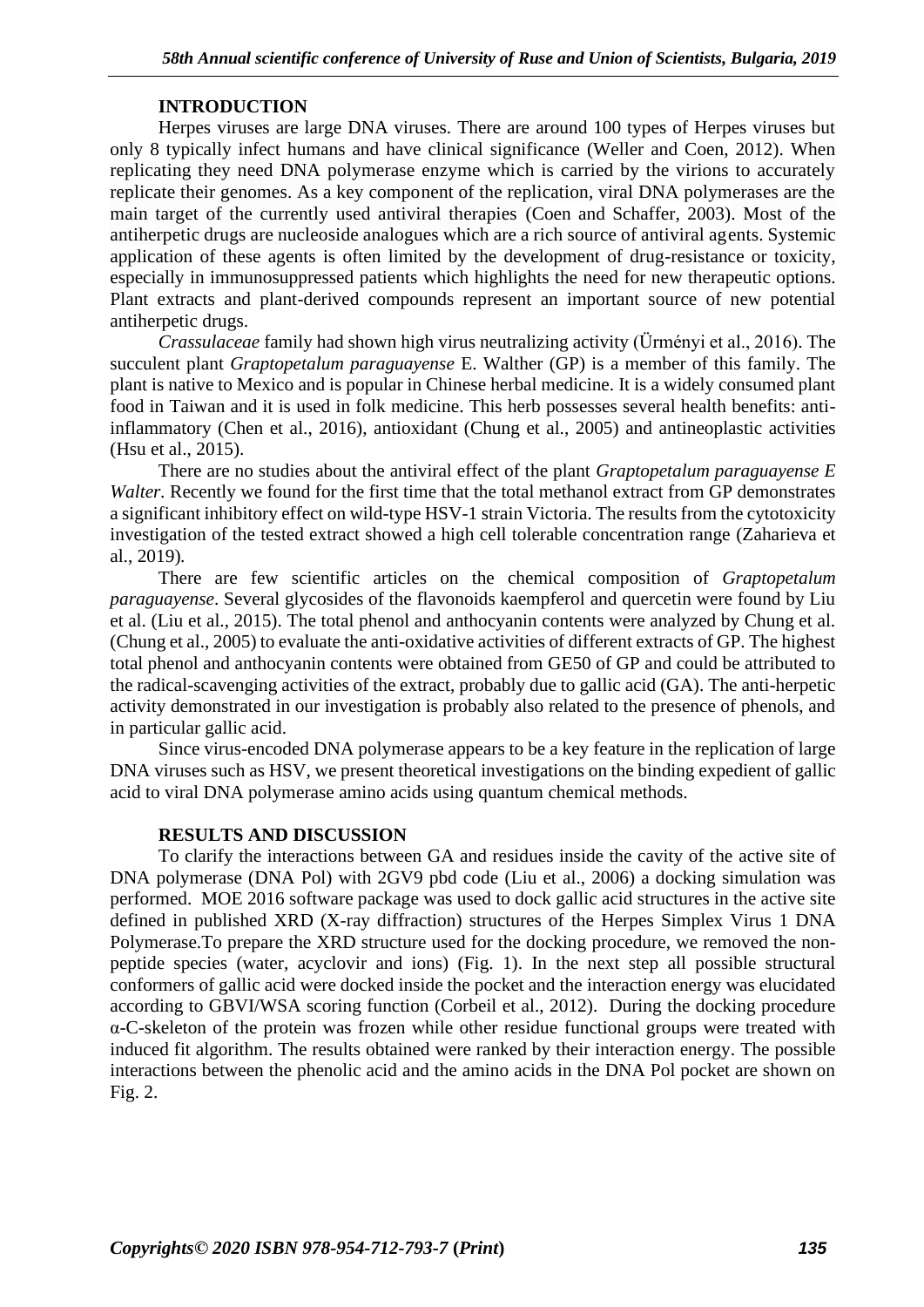## **INTRODUCTION**

Herpes viruses are large DNA viruses. There are around 100 types of Herpes viruses but only 8 typically infect humans and have clinical significance (Weller and Coen, 2012). When replicating they need DNA polymerase enzyme which is carried by the virions to accurately replicate their genomes. As a key component of the replication, viral DNA polymerases are the main target of the currently used antiviral therapies (Coen and Schaffer, 2003). Most of the antiherpetic drugs are nucleoside analogues which are a rich source of antiviral agents. Systemic application of these agents is often limited by the development of drug-resistance or toxicity, especially in immunosuppressed patients which highlights the need for new therapeutic options. Plant extracts and plant-derived compounds represent an important source of new potential antiherpetic drugs.

*Crassulaceae* family had shown high virus neutralizing activity (Ürményi et al., 2016). The succulent plant *Graptopetalum paraguayense* E. Walther (GP) is a member of this family. The plant is native to Mexico and is popular in Chinese herbal medicine. It is a widely consumed plant food in Taiwan and it is used in folk medicine. This herb possesses several health benefits: antiinflammatory (Chen et al., 2016), antioxidant (Chung et al., 2005) and antineoplastic activities (Hsu et al., 2015).

There are no studies about the antiviral effect of the plant *Graptopetalum paraguayense E Walter.* Recently we found for the first time that the total methanol extract from GP demonstrates a significant inhibitory effect on wild-type HSV-1 strain Victoria. The results from the cytotoxicity investigation of the tested extract showed a high cell tolerable concentration range (Zaharieva et al., 2019)*.*

There are few scientific articles on the chemical composition of *Graptopetalum paraguayense*. Several glycosides of the flavonoids kaempferol and quercetin were found by Liu et al. (Liu et al., 2015). The total phenol and anthocyanin contents were analyzed by Chung et al. (Chung et al., 2005) to evaluate the anti-oxidative activities of different extracts of GP. The highest total phenol and anthocyanin contents were obtained from GE50 of GP and could be attributed to the radical-scavenging activities of the extract, probably due to gallic acid (GA). The anti-herpetic activity demonstrated in our investigation is probably also related to the presence of phenols, and in particular gallic acid.

Since virus-encoded DNA polymerase appears to be a key feature in the replication of large DNA viruses such as HSV, we present theoretical investigations on the binding expedient of gallic acid to viral DNA polymerase amino acids using quantum chemical methods.

#### **RESULTS AND DISCUSSION**

To clarify the interactions between GA and residues inside the cavity of the active site of DNA polymerase (DNA Pol) with 2GV9 pbd code (Liu et al., 2006) a docking simulation was performed. MOE 2016 software package was used to dock gallic acid structures in the active site defined in published XRD (X-ray diffraction) structures of the Herpes Simplex Virus 1 DNA Polymerase.To prepare the XRD structure used for the docking procedure, we removed the nonpeptide species (water, acyclovir and ions) (Fig. 1). In the next step all possible structural conformers of gallic acid were docked inside the pocket and the interaction energy was elucidated according to GBVI/WSA scoring function (Corbeil et al., 2012). During the docking procedure α-C-skeleton of the protein was frozen while other residue functional groups were treated with induced fit algorithm. The results obtained were ranked by their interaction energy. The possible interactions between the phenolic acid and the amino acids in the DNA Pol pocket are shown on Fig. 2.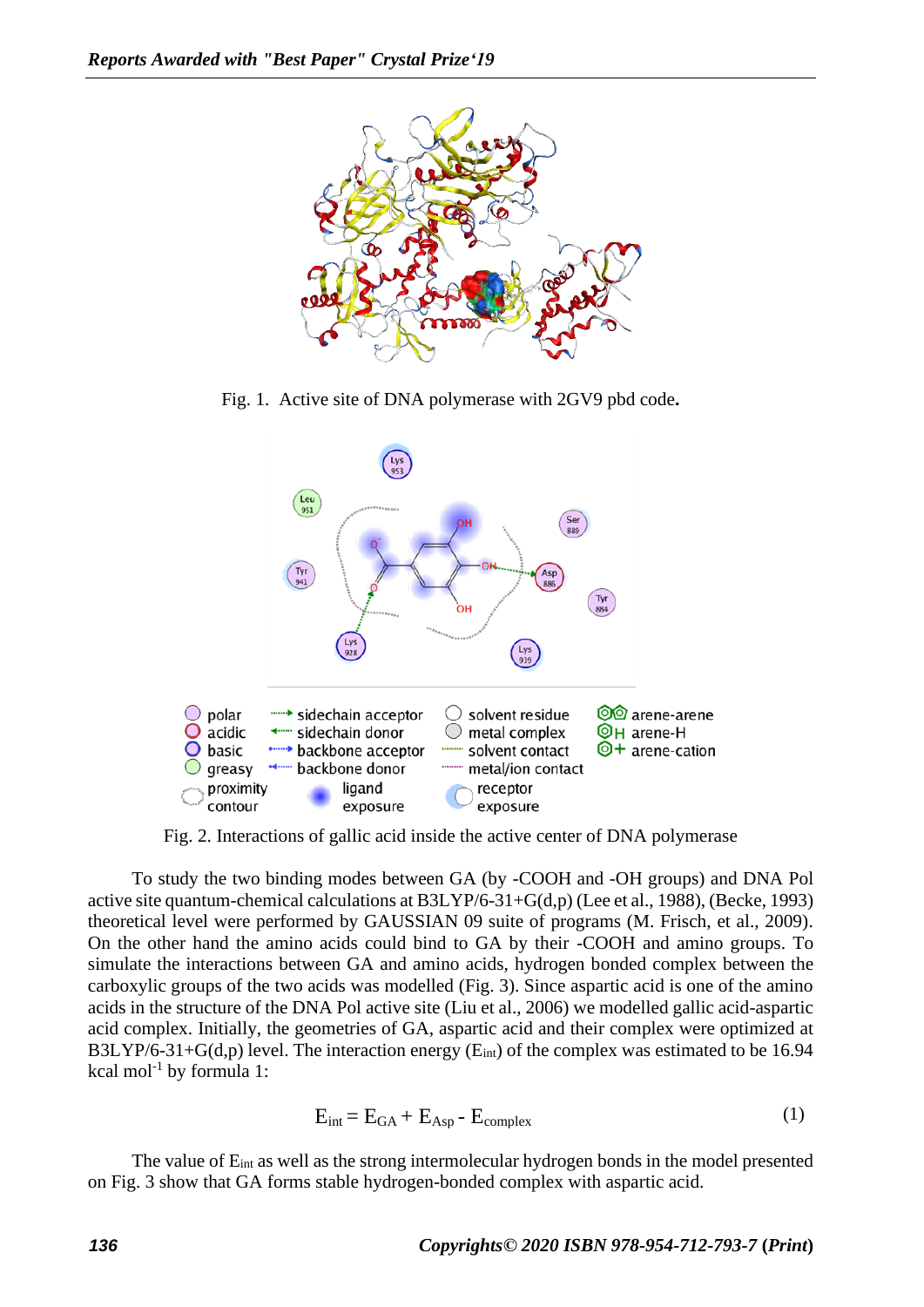

Fig. 1. Active site of DNA polymerase with 2GV9 pbd code**.**



Fig. 2. Interactions of gallic acid inside the active center of DNA polymerase

To study the two binding modes between GA (by -COOH and -OH groups) and DNA Pol active site quantum-chemical calculations at B3LYP/6-31+G(d,p) (Lee et al., 1988), (Becke, 1993) theoretical level were performed by GAUSSIAN 09 suite of programs (M. Frisch, et al., 2009). On the other hand the amino acids could bind to GA by their -COOH and amino groups. To simulate the interactions between GA and amino acids, hydrogen bonded complex between the carboxylic groups of the two acids was modelled (Fig. 3). Since aspartic acid is one of the amino acids in the structure of the DNA Pol active site (Liu et al., 2006) we modelled gallic acid-aspartic acid complex. Initially, the geometries of GA, aspartic acid and their complex were optimized at B3LYP/6-31+G(d,p) level. The interaction energy ( $E_{int}$ ) of the complex was estimated to be 16.94 kcal mol<sup>-1</sup> by formula 1:

$$
E_{int} = E_{GA} + E_{Asp} - E_{complex}
$$
 (1)

The value of  $E_{int}$  as well as the strong intermolecular hydrogen bonds in the model presented on Fig. 3 show that GA forms stable hydrogen-bonded complex with aspartic acid.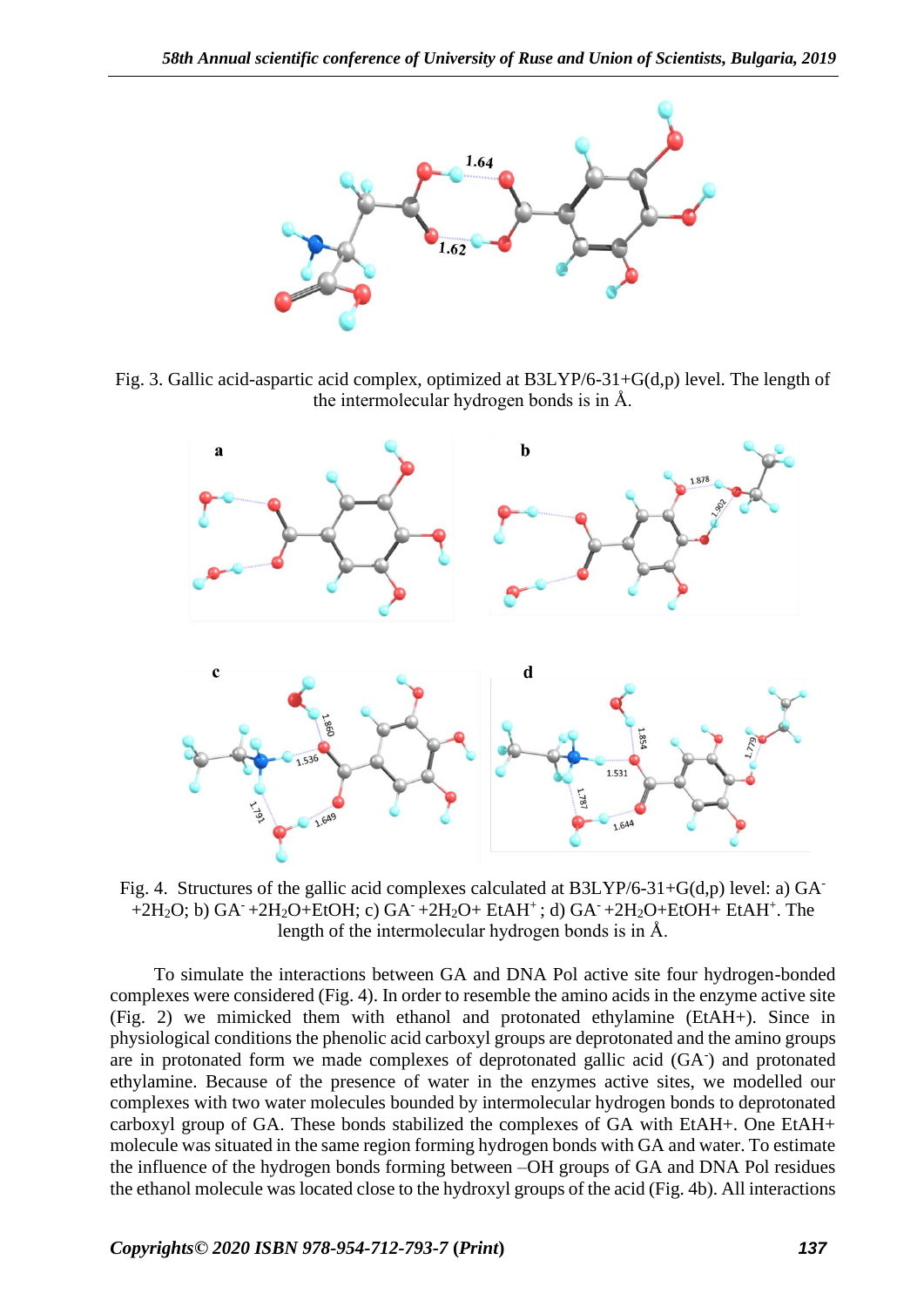

Fig. 3. Gallic acid-aspartic acid complex, optimized at B3LYP/6-31+G(d,p) level. The length of the intermolecular hydrogen bonds is in Å.



Fig. 4.Structures of the gallic acid complexes calculated at B3LYP/6-31+G(d,p) level: a) GA-  $+2H_2O$ ; b) GA<sup>-</sup> $+2H_2O+EtOH$ ; c) GA<sup>-</sup> $+2H_2O+EtAH^+$ ; d) GA<sup>-</sup> $+2H_2O+EtOH+EtAH^+$ . The length of the intermolecular hydrogen bonds is in Å.

To simulate the interactions between GA and DNA Pol active site four hydrogen-bonded complexes were considered (Fig. 4). In order to resemble the amino acids in the enzyme active site (Fig. 2) we mimicked them with ethanol and protonated ethylamine (EtAH+). Since in physiological conditions the phenolic acid carboxyl groups are deprotonated and the amino groups are in protonated form we made complexes of deprotonated gallic acid (GA- ) and protonated ethylamine. Because of the presence of water in the enzymes active sites, we modelled our complexes with two water molecules bounded by intermolecular hydrogen bonds to deprotonated carboxyl group of GA. These bonds stabilized the complexes of GA with EtAH+. One EtAH+ molecule was situated in the same region forming hydrogen bonds with GA and water. To estimate the influence of the hydrogen bonds forming between –OH groups of GA and DNA Pol residues the ethanol molecule was located close to the hydroxyl groups of the acid (Fig. 4b). All interactions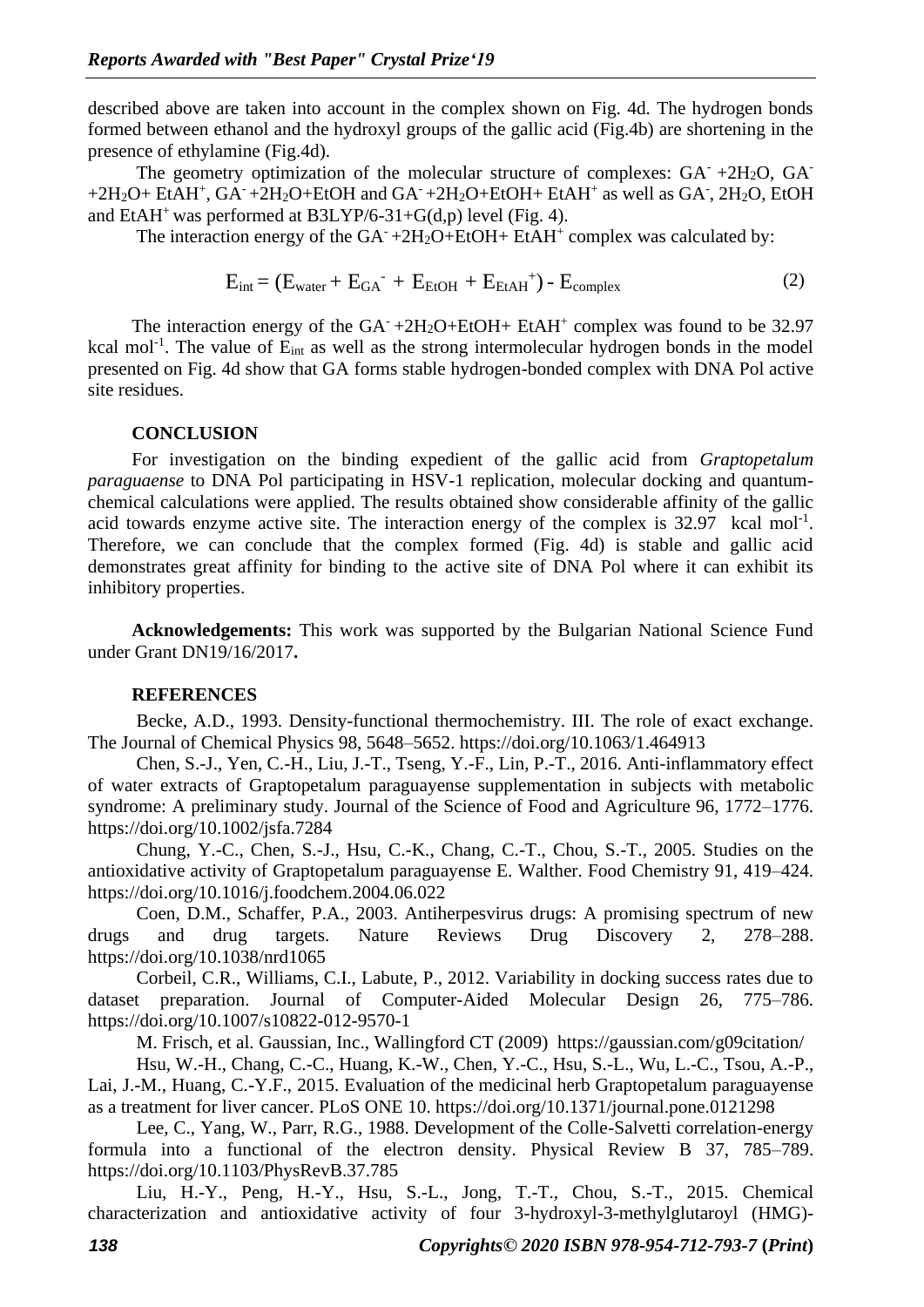described above are taken into account in the complex shown on Fig. 4d. The hydrogen bonds formed between ethanol and the hydroxyl groups of the gallic acid (Fig.4b) are shortening in the presence of ethylamine (Fig.4d).

The geometry optimization of the molecular structure of complexes:  $GA^- + 2H_2O$ ,  $GA^ +2H_2O+EtAH^+$ ,  $GA^-+2H_2O+EtOH$  and  $GA^-+2H_2O+EtOH+EtAH^+$  as well as  $GA^-$ ,  $2H_2O$ , EtOH and  $EtAH^*$  was performed at  $B3LYP/6-31+G(d,p)$  level (Fig. 4).

The interaction energy of the  $GA^-+2H_2O+EtOH+EtAH^+$  complex was calculated by:

$$
E_{int} = (E_{water} + E_{GA} + E_{EtOH} + E_{EtAH}^+) - E_{complex}
$$
 (2)

The interaction energy of the  $GA^-+2H_2O+EtOH+EtAH^+$  complex was found to be 32.97 kcal mol<sup>-1</sup>. The value of  $E_{int}$  as well as the strong intermolecular hydrogen bonds in the model presented on Fig. 4d show that GA forms stable hydrogen-bonded complex with DNA Pol active site residues.

#### **CONCLUSION**

For investigation on the binding expedient of the gallic acid from *Graptopetalum paraguaense* to DNA Pol participating in HSV-1 replication, molecular docking and quantumchemical calculations were applied. The results obtained show considerable affinity of the gallic acid towards enzyme active site. The interaction energy of the complex is  $32.97$  kcal mol<sup>-1</sup>. Therefore, we can conclude that the complex formed (Fig. 4d) is stable and gallic acid demonstrates great affinity for binding to the active site of DNA Pol where it can exhibit its inhibitory properties.

**Acknowledgements:** This work was supported by the Bulgarian National Science Fund under Grant DN19/16/2017**.**

#### **REFERENCES**

Becke, A.D., 1993. Density-functional thermochemistry. III. The role of exact exchange. The Journal of Chemical Physics 98, 5648–5652. https://doi.org/10.1063/1.464913

Chen, S.-J., Yen, C.-H., Liu, J.-T., Tseng, Y.-F., Lin, P.-T., 2016. Anti-inflammatory effect of water extracts of Graptopetalum paraguayense supplementation in subjects with metabolic syndrome: A preliminary study. Journal of the Science of Food and Agriculture 96, 1772–1776. https://doi.org/10.1002/jsfa.7284

Chung, Y.-C., Chen, S.-J., Hsu, C.-K., Chang, C.-T., Chou, S.-T., 2005. Studies on the antioxidative activity of Graptopetalum paraguayense E. Walther. Food Chemistry 91, 419–424. https://doi.org/10.1016/j.foodchem.2004.06.022

Coen, D.M., Schaffer, P.A., 2003. Antiherpesvirus drugs: A promising spectrum of new drugs and drug targets. Nature Reviews Drug Discovery 2, 278–288. https://doi.org/10.1038/nrd1065

Corbeil, C.R., Williams, C.I., Labute, P., 2012. Variability in docking success rates due to dataset preparation. Journal of Computer-Aided Molecular Design 26, 775–786. https://doi.org/10.1007/s10822-012-9570-1

M. Frisch, et al. Gaussian, Inc., Wallingford CT (2009) <https://gaussian.com/g09citation/>

Hsu, W.-H., Chang, C.-C., Huang, K.-W., Chen, Y.-C., Hsu, S.-L., Wu, L.-C., Tsou, A.-P., Lai, J.-M., Huang, C.-Y.F., 2015. Evaluation of the medicinal herb Graptopetalum paraguayense as a treatment for liver cancer. PLoS ONE 10. https://doi.org/10.1371/journal.pone.0121298

Lee, C., Yang, W., Parr, R.G., 1988. Development of the Colle-Salvetti correlation-energy formula into a functional of the electron density. Physical Review B 37, 785–789. https://doi.org/10.1103/PhysRevB.37.785

Liu, H.-Y., Peng, H.-Y., Hsu, S.-L., Jong, T.-T., Chou, S.-T., 2015. Chemical characterization and antioxidative activity of four 3-hydroxyl-3-methylglutaroyl (HMG)-